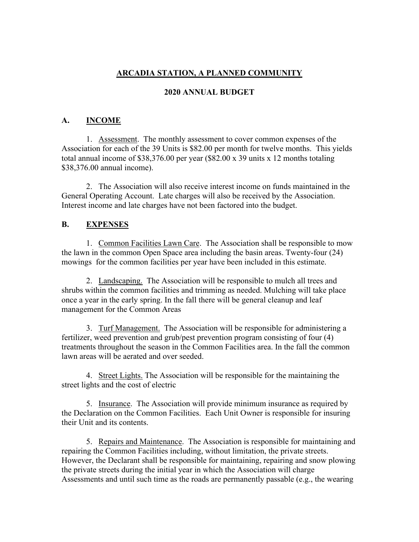# **ARCADIA STATION, A PLANNED COMMUNITY**

### **2020 ANNUAL BUDGET**

## **A. INCOME**

1. Assessment. The monthly assessment to cover common expenses of the Association for each of the 39 Units is \$82.00 per month for twelve months. This yields total annual income of \$38,376.00 per year (\$82.00 x 39 units x 12 months totaling \$38,376.00 annual income).

2. The Association will also receive interest income on funds maintained in the General Operating Account. Late charges will also be received by the Association. Interest income and late charges have not been factored into the budget.

### **B. EXPENSES**

1. Common Facilities Lawn Care. The Association shall be responsible to mow the lawn in the common Open Space area including the basin areas. Twenty-four (24) mowings for the common facilities per year have been included in this estimate.

2. Landscaping. The Association will be responsible to mulch all trees and shrubs within the common facilities and trimming as needed. Mulching will take place once a year in the early spring. In the fall there will be general cleanup and leaf management for the Common Areas

3. Turf Management. The Association will be responsible for administering a fertilizer, weed prevention and grub/pest prevention program consisting of four (4) treatments throughout the season in the Common Facilities area. In the fall the common lawn areas will be aerated and over seeded.

4. Street Lights. The Association will be responsible for the maintaining the street lights and the cost of electric

5. Insurance. The Association will provide minimum insurance as required by the Declaration on the Common Facilities. Each Unit Owner is responsible for insuring their Unit and its contents.

5. Repairs and Maintenance. The Association is responsible for maintaining and repairing the Common Facilities including, without limitation, the private streets. However, the Declarant shall be responsible for maintaining, repairing and snow plowing the private streets during the initial year in which the Association will charge Assessments and until such time as the roads are permanently passable (e.g., the wearing